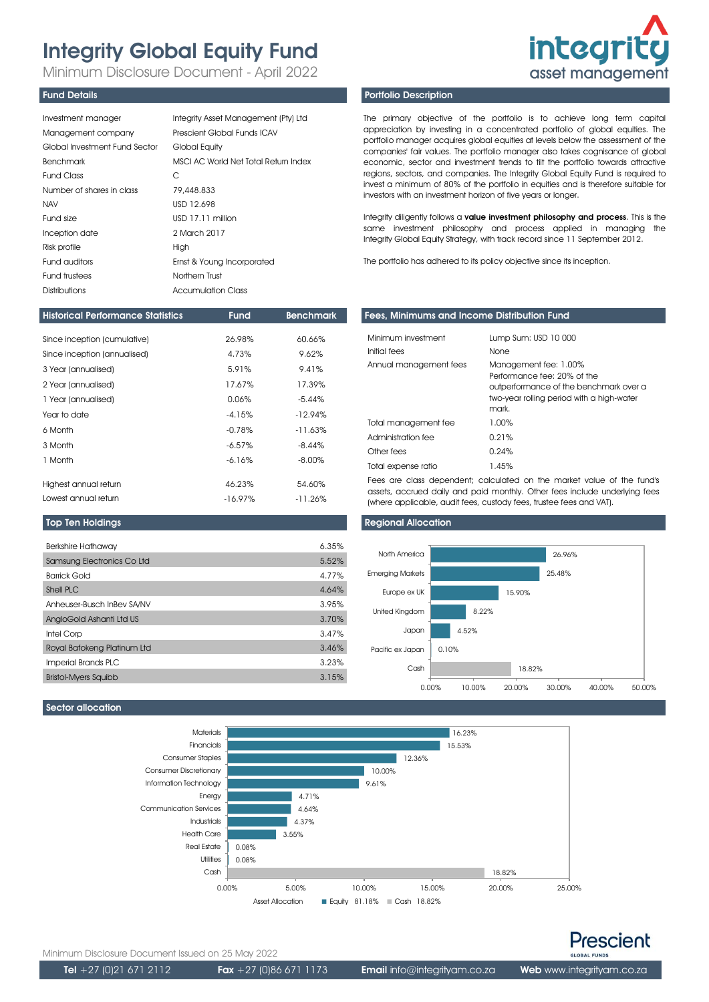# Integrity Global Equity Fund

Minimum Disclosure Document - April 2022

### Fund Details

| Investment manager            | Integrity Asset Management (Pty) Ltd |
|-------------------------------|--------------------------------------|
| Management company            | Prescient Global Funds ICAV          |
| Global Investment Fund Sector | Global Equity                        |
| Benchmark                     | MSCI AC World Net Total Return Index |
| <b>Fund Class</b>             | C                                    |
| Number of shares in class     | 79,448.833                           |
| <b>NAV</b>                    | USD 12.698                           |
| Fund size                     | USD 17.11 million                    |
| Inception date                | 2 March 2017                         |
| Risk profile                  | High                                 |
| Fund auditors                 | Ernst & Young Incorporated           |
| Fund trustees                 | Northern Trust                       |
| Distributions                 | Accumulation Class                   |

| <b>Historical Performance Statistics</b> | <b>Fund</b> | <b>Benchmark</b> |
|------------------------------------------|-------------|------------------|
|                                          |             |                  |
| Since inception (cumulative)             | 26.98%      | 60.66%           |
| Since inception (annualised)             | 4.73%       | 9.62%            |
| 3 Year (annualised)                      | 5.91%       | 9.41%            |
| 2 Year (annualised)                      | 17.67%      | 17.39%           |
| 1 Year (annualised)                      | 0.06%       | $-5.44%$         |
| Year to date                             | $-4.15%$    | $-12.94%$        |
| 6 Month                                  | $-0.78%$    | $-11.63%$        |
| 3 Month                                  | $-6.57%$    | $-8.44%$         |
| 1 Month                                  | $-6.16%$    | $-8.00\%$        |
|                                          |             |                  |
| Highest annual return                    | 46.23%      | 54.60%           |
| Lowest annual return                     | $-16.97%$   | $-11.26\%$       |

### Top Ten Holdings

| <b>Berkshire Hathaway</b>   | 6.35% |
|-----------------------------|-------|
| Samsung Electronics Co Ltd  | 5.52% |
| <b>Barrick Gold</b>         | 4.77% |
| Shell PLC                   | 4.64% |
| Anheuser-Busch InBev SA/NV  | 3.95% |
| AngloGold Ashanti Ltd US    | 3.70% |
| Intel Corp                  | 3.47% |
| Royal Bafokeng Platinum Ltd | 3.46% |
| Imperial Brands PLC         | 3.23% |
| <b>Bristol-Myers Squibb</b> | 3.15% |
|                             |       |

# **integrity** asset management

# Portfolio Description

The primary objective of the portfolio is to achieve long term capital appreciation by investing in a concentrated portfolio of global equities. The portfolio manager acquires global equities at levels below the assessment of the companies' fair values. The portfolio manager also takes cognisance of global economic, sector and investment trends to tilt the portfolio towards attractive regions, sectors, and companies. The Integrity Global Equity Fund is required to invest a minimum of 80% of the portfolio in equities and is therefore suitable for investors with an investment horizon of five years or longer.

Integrity diligently follows a value investment philosophy and process. This is the same investment philosophy and process applied in managing the Integrity Global Equity Strategy, with track record since 11 September 2012.

The portfolio has adhered to its policy objective since its inception.

# Fees, Minimums and Income Distribution Fund

| Minimum investment<br>Initial fees<br>Annual management fees | Lump Sum: USD 10 000<br><b>None</b><br>Management fee: 1.00%<br>Performance fee: 20% of the<br>outperformance of the benchmark over a<br>two-year rolling period with a high-water |
|--------------------------------------------------------------|------------------------------------------------------------------------------------------------------------------------------------------------------------------------------------|
|                                                              | mark.                                                                                                                                                                              |
| Total management fee                                         | $1.00\%$                                                                                                                                                                           |
| Administration fee                                           | 0.21%                                                                                                                                                                              |
| Other fees                                                   | 0.24%                                                                                                                                                                              |
| Total expense ratio                                          | 1.45%                                                                                                                                                                              |

Fees are class dependent; calculated on the market value of the fund's assets, accrued daily and paid monthly. Other fees include underlying fees (where applicable, audit fees, custody fees, trustee fees and VAT).

# Regional Allocation



# Sector allocation





Minimum Disclosure Document Issued on 25 May 2022